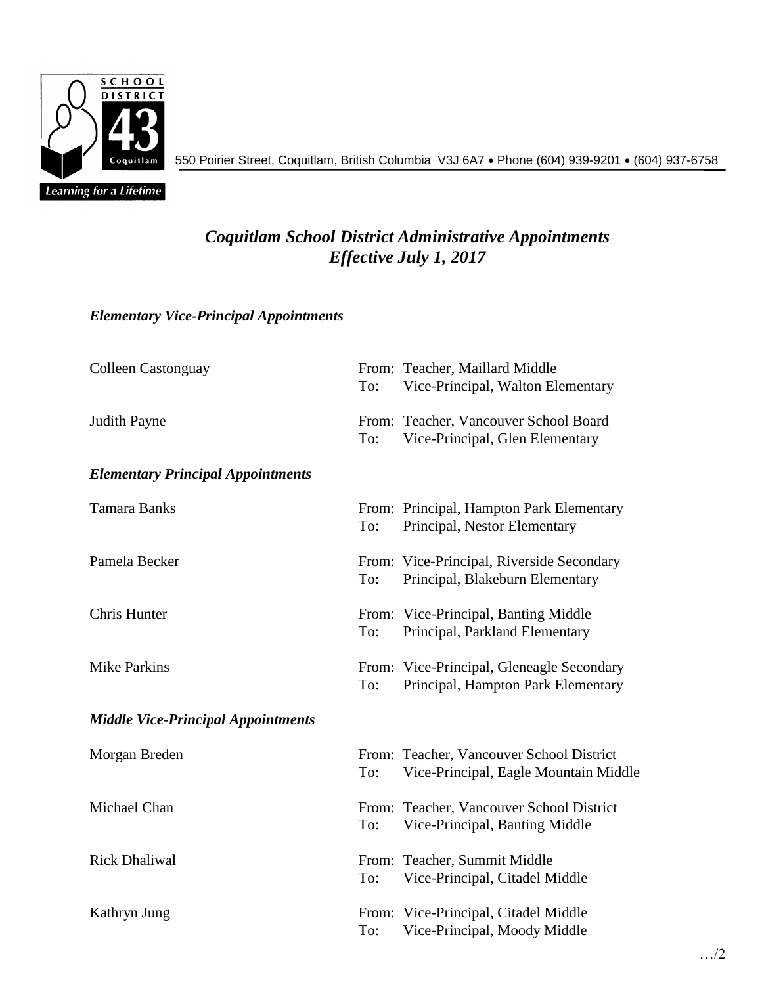

550 Poirier Street, Coquitlam, British Columbia V3J 6A7 Phone (604) 939-9201 (604) 937-6758

## *Coquitlam School District Administrative Appointments Effective July 1, 2017*

## *Elementary Vice-Principal Appointments*

| <b>Colleen Castonguay</b>                 | To: | From: Teacher, Maillard Middle<br>Vice-Principal, Walton Elementary               |
|-------------------------------------------|-----|-----------------------------------------------------------------------------------|
| <b>Judith Payne</b>                       | To: | From: Teacher, Vancouver School Board<br>Vice-Principal, Glen Elementary          |
| <b>Elementary Principal Appointments</b>  |     |                                                                                   |
| <b>Tamara Banks</b>                       | To: | From: Principal, Hampton Park Elementary<br>Principal, Nestor Elementary          |
| Pamela Becker                             | To: | From: Vice-Principal, Riverside Secondary<br>Principal, Blakeburn Elementary      |
| Chris Hunter                              | To: | From: Vice-Principal, Banting Middle<br>Principal, Parkland Elementary            |
| <b>Mike Parkins</b>                       | To: | From: Vice-Principal, Gleneagle Secondary<br>Principal, Hampton Park Elementary   |
| <b>Middle Vice-Principal Appointments</b> |     |                                                                                   |
| Morgan Breden                             | To: | From: Teacher, Vancouver School District<br>Vice-Principal, Eagle Mountain Middle |
| Michael Chan                              | To: | From: Teacher, Vancouver School District<br>Vice-Principal, Banting Middle        |
| <b>Rick Dhaliwal</b>                      | To: | From: Teacher, Summit Middle<br>Vice-Principal, Citadel Middle                    |
| Kathryn Jung                              | To: | From: Vice-Principal, Citadel Middle<br>Vice-Principal, Moody Middle              |